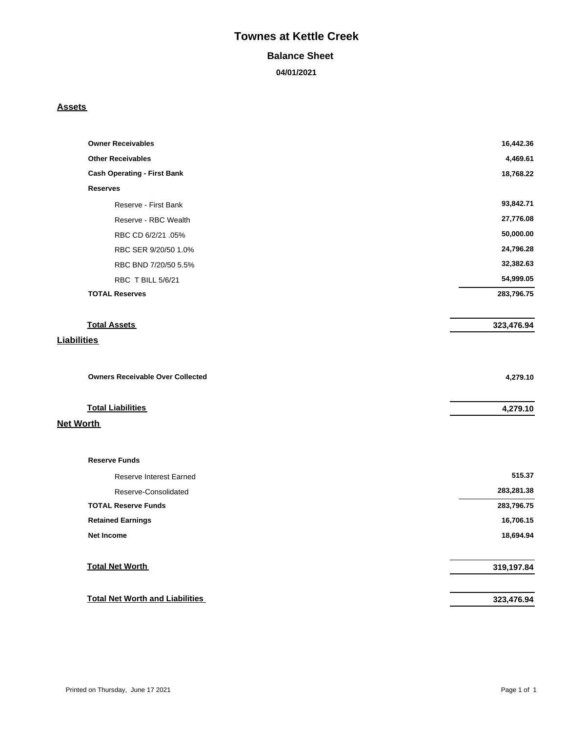# **Townes at Kettle Creek**

#### **Balance Sheet**

**04/01/2021**

#### **Assets**

| <b>Owner Receivables</b>                | 16,442.36  |
|-----------------------------------------|------------|
| <b>Other Receivables</b>                | 4,469.61   |
| <b>Cash Operating - First Bank</b>      | 18,768.22  |
| <b>Reserves</b>                         |            |
| Reserve - First Bank                    | 93,842.71  |
| Reserve - RBC Wealth                    | 27,776.08  |
| RBC CD 6/2/21 .05%                      | 50,000.00  |
| RBC SER 9/20/50 1.0%                    | 24,796.28  |
| RBC BND 7/20/50 5.5%                    | 32,382.63  |
| RBC T BILL 5/6/21                       | 54,999.05  |
| <b>TOTAL Reserves</b>                   | 283,796.75 |
| <b>Total Assets</b>                     | 323,476.94 |
| <b>Liabilities</b>                      |            |
| <b>Owners Receivable Over Collected</b> | 4,279.10   |
| <b>Total Liabilities</b>                | 4,279.10   |
| <b>Net Worth</b>                        |            |
| <b>Reserve Funds</b>                    |            |
| <b>Reserve Interest Earned</b>          | 515.37     |
| Reserve-Consolidated                    | 283,281.38 |
| <b>TOTAL Reserve Funds</b>              | 283,796.75 |
| <b>Retained Earnings</b>                | 16,706.15  |
| <b>Net Income</b>                       | 18,694.94  |
|                                         |            |
| <b>Total Net Worth</b>                  | 319,197.84 |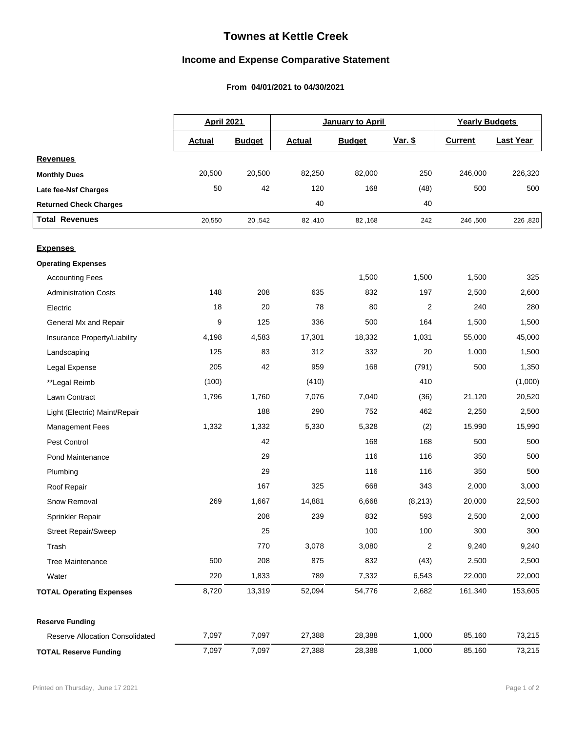## **Townes at Kettle Creek**

## **Income and Expense Comparative Statement**

### From 04/01/2021 to 04/30/2021

|                                        |               | <b>April 2021</b> |               | January to April |                  |                | <b>Yearly Budgets</b> |  |
|----------------------------------------|---------------|-------------------|---------------|------------------|------------------|----------------|-----------------------|--|
|                                        | <b>Actual</b> | <b>Budget</b>     | <b>Actual</b> | <b>Budget</b>    | <u>Var. \$</u>   | <b>Current</b> | <b>Last Year</b>      |  |
| <b>Revenues</b>                        |               |                   |               |                  |                  |                |                       |  |
| <b>Monthly Dues</b>                    | 20,500        | 20,500            | 82,250        | 82,000           | 250              | 246,000        | 226,320               |  |
| Late fee-Nsf Charges                   | 50            | 42                | 120           | 168              | (48)             | 500            | 500                   |  |
| <b>Returned Check Charges</b>          |               |                   | 40            |                  | 40               |                |                       |  |
| <b>Total Revenues</b>                  | 20,550        | 20,542            | 82,410        | 82,168           | 242              | 246,500        | 226,820               |  |
| <b>Expenses</b>                        |               |                   |               |                  |                  |                |                       |  |
| <b>Operating Expenses</b>              |               |                   |               |                  |                  |                |                       |  |
| <b>Accounting Fees</b>                 |               |                   |               | 1,500            | 1,500            | 1,500          | 325                   |  |
| <b>Administration Costs</b>            | 148           | 208               | 635           | 832              | 197              | 2,500          | 2,600                 |  |
| Electric                               | 18            | 20                | 78            | 80               | 2                | 240            | 280                   |  |
| General Mx and Repair                  | 9             | 125               | 336           | 500              | 164              | 1,500          | 1,500                 |  |
| Insurance Property/Liability           | 4,198         | 4,583             | 17,301        | 18,332           | 1,031            | 55,000         | 45,000                |  |
| Landscaping                            | 125           | 83                | 312           | 332              | 20               | 1,000          | 1,500                 |  |
| Legal Expense                          | 205           | 42                | 959           | 168              | (791)            | 500            | 1,350                 |  |
| **Legal Reimb                          | (100)         |                   | (410)         |                  | 410              |                | (1,000)               |  |
| Lawn Contract                          | 1,796         | 1,760             | 7,076         | 7,040            | (36)             | 21,120         | 20,520                |  |
| Light (Electric) Maint/Repair          |               | 188               | 290           | 752              | 462              | 2,250          | 2,500                 |  |
| <b>Management Fees</b>                 | 1,332         | 1,332             | 5,330         | 5,328            | (2)              | 15,990         | 15,990                |  |
| Pest Control                           |               | 42                |               | 168              | 168              | 500            | 500                   |  |
| <b>Pond Maintenance</b>                |               | 29                |               | 116              | 116              | 350            | 500                   |  |
| Plumbing                               |               | 29                |               | 116              | 116              | 350            | 500                   |  |
| Roof Repair                            |               | 167               | 325           | 668              | 343              | 2,000          | 3,000                 |  |
| Snow Removal                           | 269           | 1,667             | 14,881        | 6,668            | (8, 213)         | 20,000         | 22,500                |  |
| Sprinkler Repair                       |               | 208               | 239           | 832              | 593              | 2,500          | 2,000                 |  |
| <b>Street Repair/Sweep</b>             |               | 25                |               | 100              | 100              | 300            | 300                   |  |
| Trash                                  |               | 770               | 3,078         | 3,080            | $\boldsymbol{2}$ | 9,240          | 9,240                 |  |
| <b>Tree Maintenance</b>                | 500           | 208               | 875           | 832              | (43)             | 2,500          | 2,500                 |  |
| Water                                  | 220           | 1,833             | 789           | 7,332            | 6,543            | 22,000         | 22,000                |  |
| <b>TOTAL Operating Expenses</b>        | 8,720         | 13,319            | 52,094        | 54,776           | 2,682            | 161,340        | 153,605               |  |
| <b>Reserve Funding</b>                 |               |                   |               |                  |                  |                |                       |  |
| <b>Reserve Allocation Consolidated</b> | 7,097         | 7,097             | 27,388        | 28,388           | 1,000            | 85,160         | 73,215                |  |
| <b>TOTAL Reserve Funding</b>           | 7,097         | 7,097             | 27,388        | 28,388           | 1,000            | 85,160         | 73,215                |  |